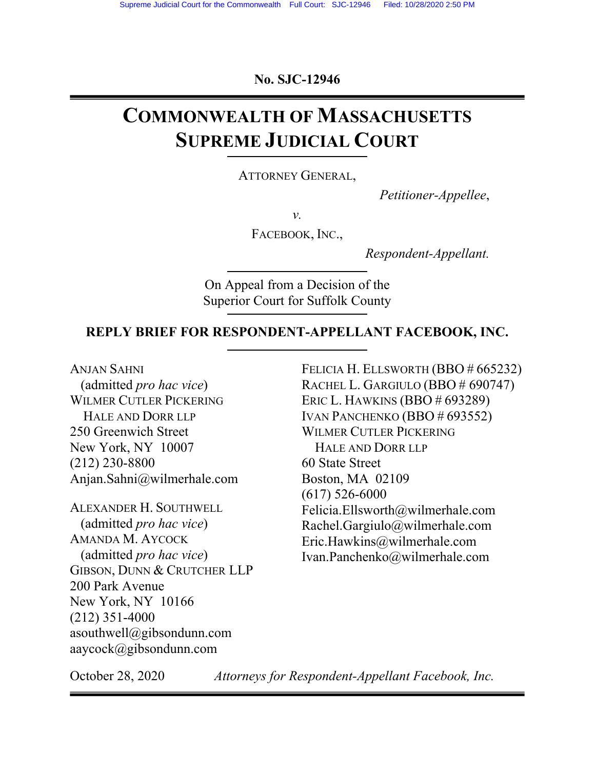**No. SJC-12946** 

# **COMMONWEALTH OF MASSACHUSETTS SUPREME JUDICIAL COURT**

ATTORNEY GENERAL,

*Petitioner-Appellee*,

*v.* 

FACEBOOK, INC.,

*Respondent-Appellant.* 

On Appeal from a Decision of the Superior Court for Suffolk County

#### **REPLY BRIEF FOR RESPONDENT-APPELLANT FACEBOOK, INC.**

ANJAN SAHNI (admitted *pro hac vice*) WILMER CUTLER PICKERING HALE AND DORR LLP 250 Greenwich Street New York, NY 10007 (212) 230-8800 Anjan.Sahni@wilmerhale.com

ALEXANDER H. SOUTHWELL (admitted *pro hac vice*) AMANDA M. AYCOCK (admitted *pro hac vice*) GIBSON, DUNN & CRUTCHER LLP 200 Park Avenue New York, NY 10166 (212) 351-4000 asouthwell@gibsondunn.com aaycock@gibsondunn.com

FELICIA H. ELLSWORTH (BBO # 665232) RACHEL L. GARGIULO (BBO # 690747) ERIC L. HAWKINS (BBO # 693289) IVAN PANCHENKO (BBO # 693552) WILMER CUTLER PICKERING HALE AND DORR LLP 60 State Street Boston, MA 02109 (617) 526-6000 Felicia.Ellsworth@wilmerhale.com Rachel.Gargiulo@wilmerhale.com Eric.Hawkins@wilmerhale.com Ivan.Panchenko@wilmerhale.com

October 28, 2020 *Attorneys for Respondent-Appellant Facebook, Inc.*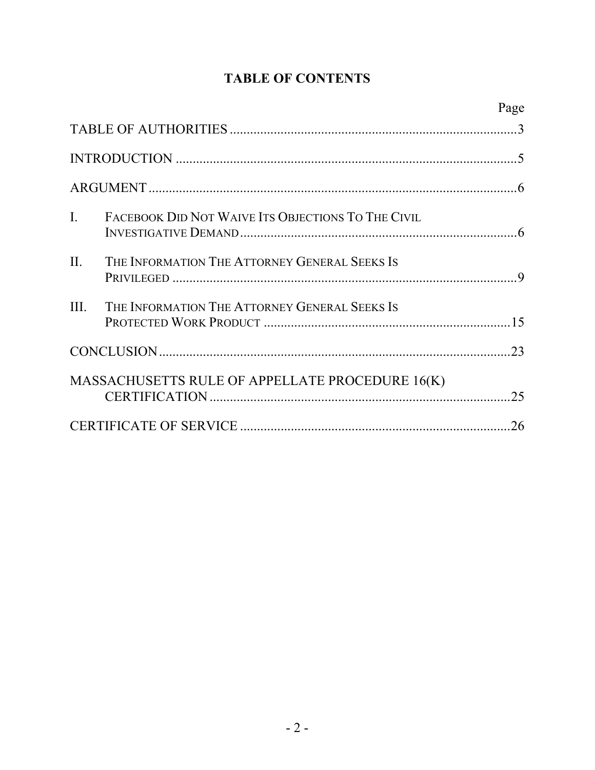# **TABLE OF CONTENTS**

|                |                                                    | Page |  |
|----------------|----------------------------------------------------|------|--|
|                |                                                    |      |  |
|                |                                                    |      |  |
|                |                                                    |      |  |
| $\mathbf{I}$ . | FACEBOOK DID NOT WAIVE ITS OBJECTIONS TO THE CIVIL |      |  |
| II.            | THE INFORMATION THE ATTORNEY GENERAL SEEKS IS      |      |  |
| III.           | THE INFORMATION THE ATTORNEY GENERAL SEEKS IS      |      |  |
|                |                                                    |      |  |
|                | MASSACHUSETTS RULE OF APPELLATE PROCEDURE 16(K)    | .25  |  |
| 26             |                                                    |      |  |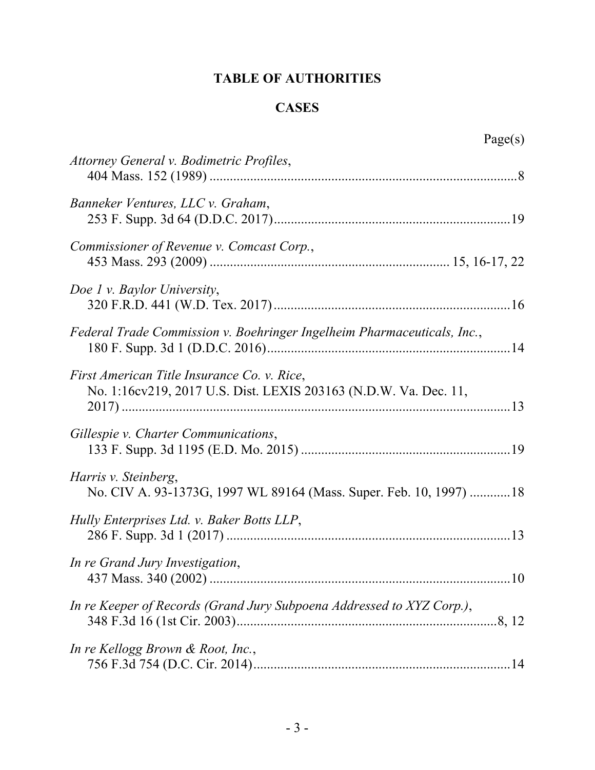# **TABLE OF AUTHORITIES**

## **CASES**

| Page(s)                                                                                                         |
|-----------------------------------------------------------------------------------------------------------------|
| Attorney General v. Bodimetric Profiles,                                                                        |
| Banneker Ventures, LLC v. Graham,                                                                               |
| Commissioner of Revenue v. Comcast Corp.,                                                                       |
| Doe 1 v. Baylor University,                                                                                     |
| Federal Trade Commission v. Boehringer Ingelheim Pharmaceuticals, Inc.,                                         |
| First American Title Insurance Co. v. Rice,<br>No. 1:16cv219, 2017 U.S. Dist. LEXIS 203163 (N.D.W. Va. Dec. 11, |
| Gillespie v. Charter Communications,                                                                            |
| Harris v. Steinberg,<br>No. CIV A. 93-1373G, 1997 WL 89164 (Mass. Super. Feb. 10, 1997) 18                      |
| Hully Enterprises Ltd. v. Baker Botts LLP,                                                                      |
| In re Grand Jury Investigation,                                                                                 |
| In re Keeper of Records (Grand Jury Subpoena Addressed to XYZ Corp.),                                           |
| In re Kellogg Brown & Root, Inc.,                                                                               |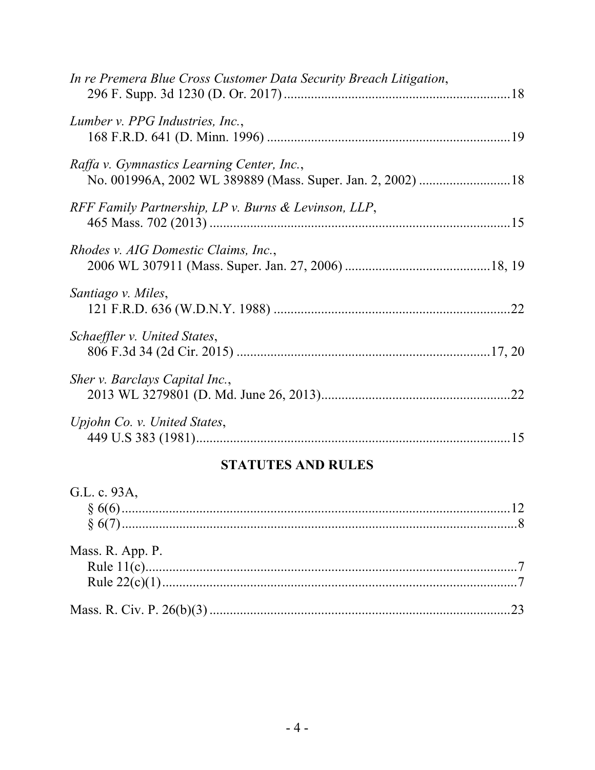| .22 |
|-----|
|     |
|     |
|     |
|     |

# **STATUTES AND RULES**

| G.L. c. 93A,     |  |
|------------------|--|
|                  |  |
|                  |  |
|                  |  |
| Mass. R. App. P. |  |
|                  |  |
|                  |  |
|                  |  |
|                  |  |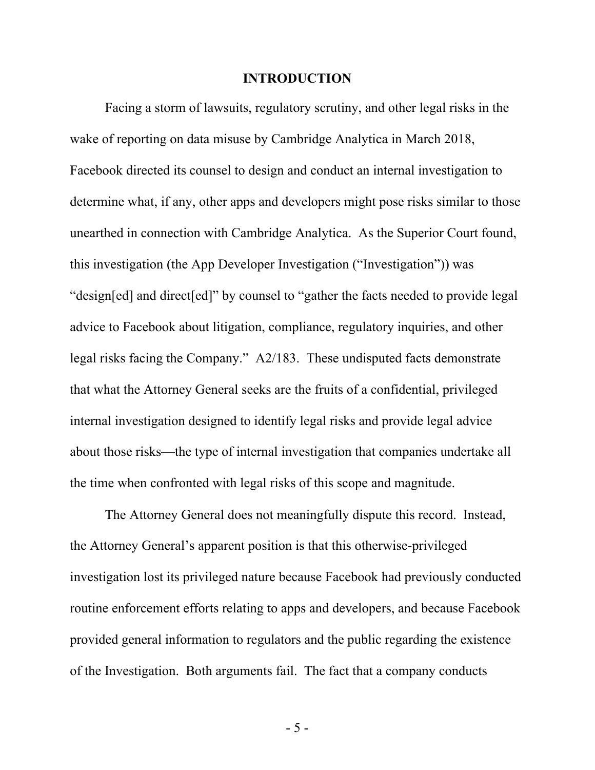#### **INTRODUCTION**

Facing a storm of lawsuits, regulatory scrutiny, and other legal risks in the wake of reporting on data misuse by Cambridge Analytica in March 2018, Facebook directed its counsel to design and conduct an internal investigation to determine what, if any, other apps and developers might pose risks similar to those unearthed in connection with Cambridge Analytica. As the Superior Court found, this investigation (the App Developer Investigation ("Investigation")) was "design[ed] and direct[ed]" by counsel to "gather the facts needed to provide legal advice to Facebook about litigation, compliance, regulatory inquiries, and other legal risks facing the Company." A2/183.These undisputed facts demonstrate that what the Attorney General seeks are the fruits of a confidential, privileged internal investigation designed to identify legal risks and provide legal advice about those risks—the type of internal investigation that companies undertake all the time when confronted with legal risks of this scope and magnitude.

The Attorney General does not meaningfully dispute this record. Instead, the Attorney General's apparent position is that this otherwise-privileged investigation lost its privileged nature because Facebook had previously conducted routine enforcement efforts relating to apps and developers, and because Facebook provided general information to regulators and the public regarding the existence of the Investigation. Both arguments fail. The fact that a company conducts

- 5 -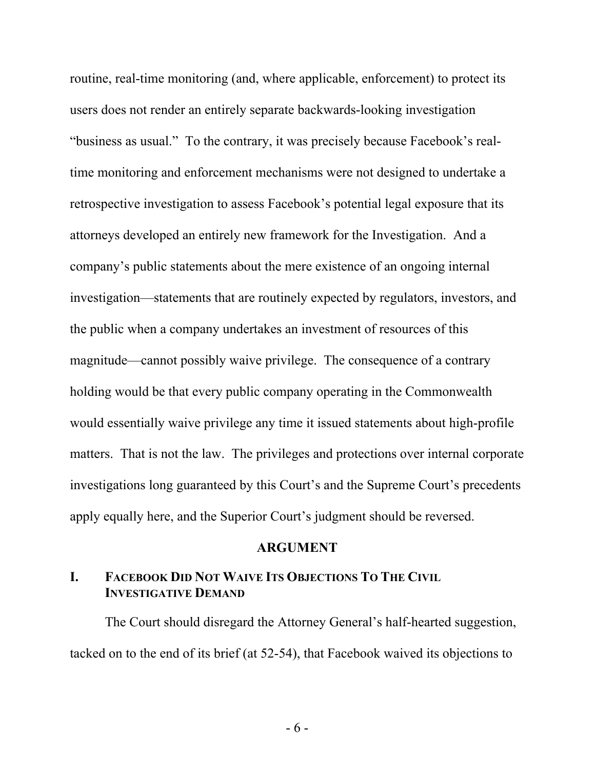routine, real-time monitoring (and, where applicable, enforcement) to protect its users does not render an entirely separate backwards-looking investigation "business as usual." To the contrary, it was precisely because Facebook's realtime monitoring and enforcement mechanisms were not designed to undertake a retrospective investigation to assess Facebook's potential legal exposure that its attorneys developed an entirely new framework for the Investigation. And a company's public statements about the mere existence of an ongoing internal investigation—statements that are routinely expected by regulators, investors, and the public when a company undertakes an investment of resources of this magnitude—cannot possibly waive privilege. The consequence of a contrary holding would be that every public company operating in the Commonwealth would essentially waive privilege any time it issued statements about high-profile matters. That is not the law. The privileges and protections over internal corporate investigations long guaranteed by this Court's and the Supreme Court's precedents apply equally here, and the Superior Court's judgment should be reversed.

#### **ARGUMENT**

### **I. FACEBOOK DID NOT WAIVE ITS OBJECTIONS TO THE CIVIL INVESTIGATIVE DEMAND**

The Court should disregard the Attorney General's half-hearted suggestion, tacked on to the end of its brief (at 52-54), that Facebook waived its objections to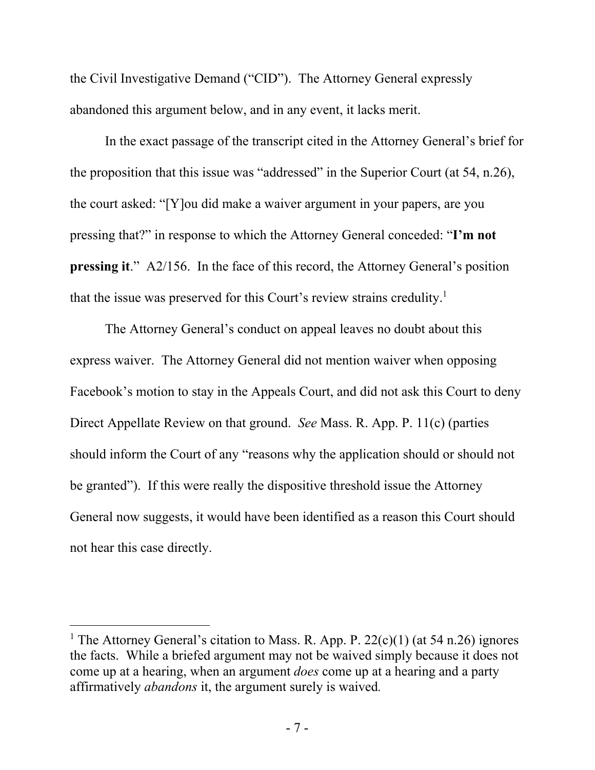the Civil Investigative Demand ("CID"). The Attorney General expressly abandoned this argument below, and in any event, it lacks merit.

In the exact passage of the transcript cited in the Attorney General's brief for the proposition that this issue was "addressed" in the Superior Court (at 54, n.26), the court asked: "[Y]ou did make a waiver argument in your papers, are you pressing that?" in response to which the Attorney General conceded: "**I'm not pressing it.**" A2/156. In the face of this record, the Attorney General's position that the issue was preserved for this Court's review strains credulity.<sup>1</sup>

The Attorney General's conduct on appeal leaves no doubt about this express waiver. The Attorney General did not mention waiver when opposing Facebook's motion to stay in the Appeals Court, and did not ask this Court to deny Direct Appellate Review on that ground. *See* Mass. R. App. P. 11(c) (parties should inform the Court of any "reasons why the application should or should not be granted"). If this were really the dispositive threshold issue the Attorney General now suggests, it would have been identified as a reason this Court should not hear this case directly.

<sup>&</sup>lt;sup>1</sup> The Attorney General's citation to Mass. R. App. P.  $22(c)(1)$  (at 54 n.26) ignores the facts. While a briefed argument may not be waived simply because it does not come up at a hearing, when an argument *does* come up at a hearing and a party affirmatively *abandons* it, the argument surely is waived*.*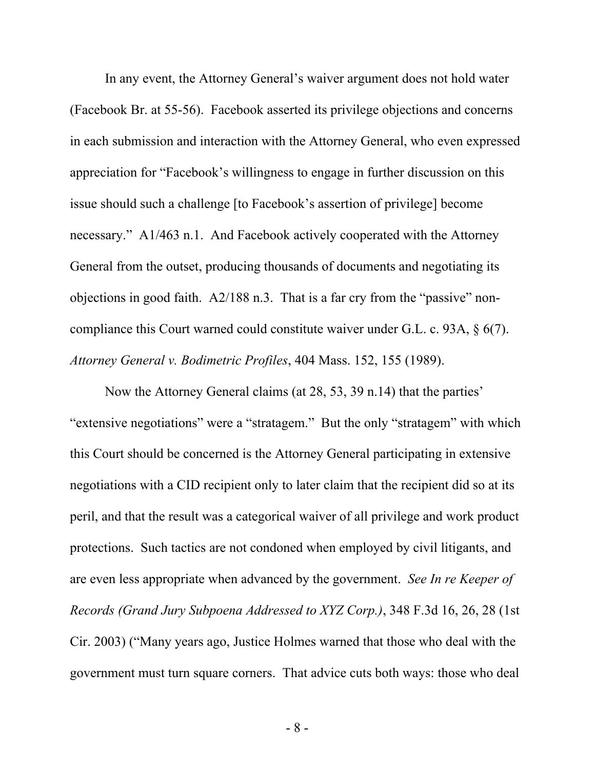In any event, the Attorney General's waiver argument does not hold water (Facebook Br. at 55-56). Facebook asserted its privilege objections and concerns in each submission and interaction with the Attorney General, who even expressed appreciation for "Facebook's willingness to engage in further discussion on this issue should such a challenge [to Facebook's assertion of privilege] become necessary." A1/463 n.1. And Facebook actively cooperated with the Attorney General from the outset, producing thousands of documents and negotiating its objections in good faith. A2/188 n.3. That is a far cry from the "passive" noncompliance this Court warned could constitute waiver under G.L. c. 93A, § 6(7). *Attorney General v. Bodimetric Profiles*, 404 Mass. 152, 155 (1989).

Now the Attorney General claims (at 28, 53, 39 n.14) that the parties' "extensive negotiations" were a "stratagem." But the only "stratagem" with which this Court should be concerned is the Attorney General participating in extensive negotiations with a CID recipient only to later claim that the recipient did so at its peril, and that the result was a categorical waiver of all privilege and work product protections. Such tactics are not condoned when employed by civil litigants, and are even less appropriate when advanced by the government. *See In re Keeper of Records (Grand Jury Subpoena Addressed to XYZ Corp.)*, 348 F.3d 16, 26, 28 (1st Cir. 2003) ("Many years ago, Justice Holmes warned that those who deal with the government must turn square corners. That advice cuts both ways: those who deal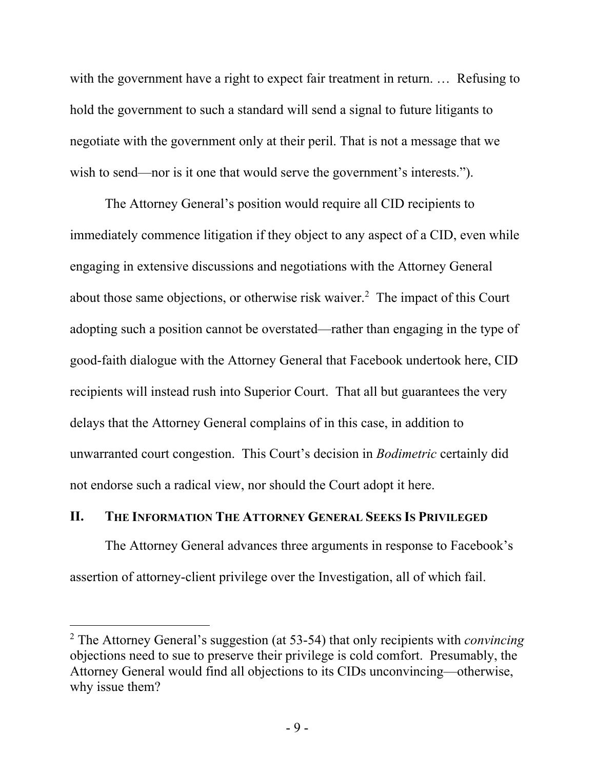with the government have a right to expect fair treatment in return. ... Refusing to hold the government to such a standard will send a signal to future litigants to negotiate with the government only at their peril. That is not a message that we wish to send—nor is it one that would serve the government's interests.").

The Attorney General's position would require all CID recipients to immediately commence litigation if they object to any aspect of a CID, even while engaging in extensive discussions and negotiations with the Attorney General about those same objections, or otherwise risk waiver.<sup>2</sup> The impact of this Court adopting such a position cannot be overstated—rather than engaging in the type of good-faith dialogue with the Attorney General that Facebook undertook here, CID recipients will instead rush into Superior Court. That all but guarantees the very delays that the Attorney General complains of in this case, in addition to unwarranted court congestion. This Court's decision in *Bodimetric* certainly did not endorse such a radical view, nor should the Court adopt it here.

#### **II. THE INFORMATION THE ATTORNEY GENERAL SEEKS IS PRIVILEGED**

The Attorney General advances three arguments in response to Facebook's assertion of attorney-client privilege over the Investigation, all of which fail.

<sup>2</sup> The Attorney General's suggestion (at 53-54) that only recipients with *convincing*  objections need to sue to preserve their privilege is cold comfort. Presumably, the Attorney General would find all objections to its CIDs unconvincing—otherwise, why issue them?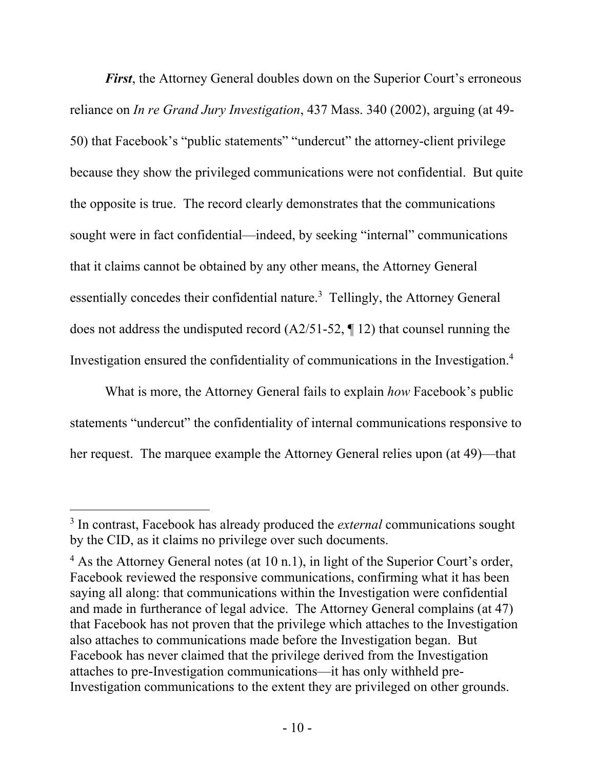*First*, the Attorney General doubles down on the Superior Court's erroneous reliance on *In re Grand Jury Investigation*, 437 Mass. 340 (2002), arguing (at 49- 50) that Facebook's "public statements" "undercut" the attorney-client privilege because they show the privileged communications were not confidential. But quite the opposite is true. The record clearly demonstrates that the communications sought were in fact confidential—indeed, by seeking "internal" communications that it claims cannot be obtained by any other means, the Attorney General essentially concedes their confidential nature.<sup>3</sup> Tellingly, the Attorney General does not address the undisputed record (A2/51-52, ¶ 12) that counsel running the Investigation ensured the confidentiality of communications in the Investigation.4

What is more, the Attorney General fails to explain *how* Facebook's public statements "undercut" the confidentiality of internal communications responsive to her request. The marquee example the Attorney General relies upon (at 49)—that

<sup>3</sup> In contrast, Facebook has already produced the *external* communications sought by the CID, as it claims no privilege over such documents.

<sup>&</sup>lt;sup>4</sup> As the Attorney General notes (at 10 n.1), in light of the Superior Court's order, Facebook reviewed the responsive communications, confirming what it has been saying all along: that communications within the Investigation were confidential and made in furtherance of legal advice. The Attorney General complains (at 47) that Facebook has not proven that the privilege which attaches to the Investigation also attaches to communications made before the Investigation began. But Facebook has never claimed that the privilege derived from the Investigation attaches to pre-Investigation communications—it has only withheld pre-Investigation communications to the extent they are privileged on other grounds.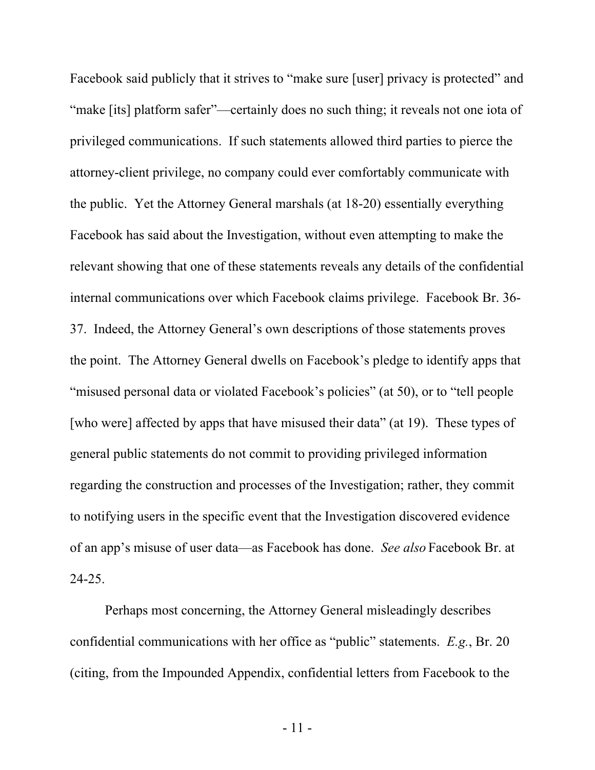Facebook said publicly that it strives to "make sure [user] privacy is protected" and "make [its] platform safer"—certainly does no such thing; it reveals not one iota of privileged communications. If such statements allowed third parties to pierce the attorney-client privilege, no company could ever comfortably communicate with the public. Yet the Attorney General marshals (at 18-20) essentially everything Facebook has said about the Investigation, without even attempting to make the relevant showing that one of these statements reveals any details of the confidential internal communications over which Facebook claims privilege. Facebook Br. 36- 37. Indeed, the Attorney General's own descriptions of those statements proves the point. The Attorney General dwells on Facebook's pledge to identify apps that "misused personal data or violated Facebook's policies" (at 50), or to "tell people [who were] affected by apps that have misused their data" (at 19). These types of general public statements do not commit to providing privileged information regarding the construction and processes of the Investigation; rather, they commit to notifying users in the specific event that the Investigation discovered evidence of an app's misuse of user data—as Facebook has done. *See also* Facebook Br. at 24-25.

Perhaps most concerning, the Attorney General misleadingly describes confidential communications with her office as "public" statements. *E.g.*, Br. 20 (citing, from the Impounded Appendix, confidential letters from Facebook to the

- 11 -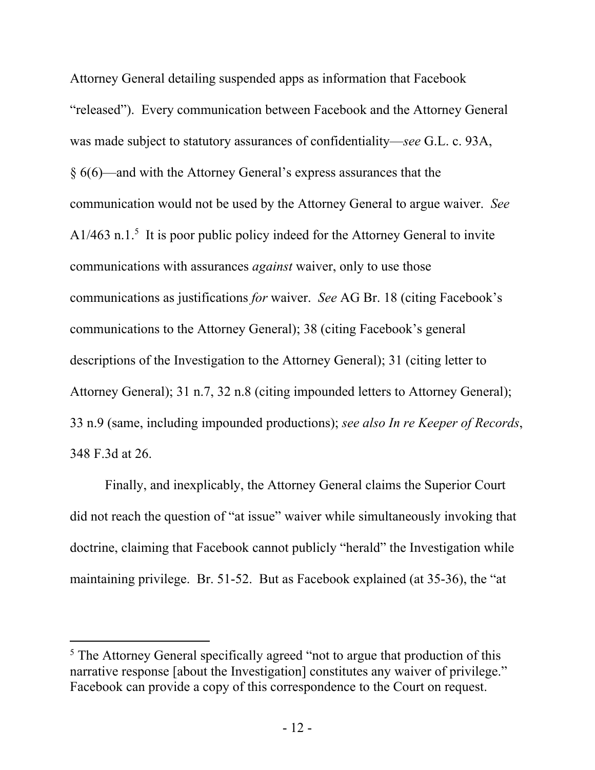Attorney General detailing suspended apps as information that Facebook "released"). Every communication between Facebook and the Attorney General was made subject to statutory assurances of confidentiality—*see* G.L. c. 93A, § 6(6)—and with the Attorney General's express assurances that the communication would not be used by the Attorney General to argue waiver. *See*  $A1/463$  n.1.<sup>5</sup> It is poor public policy indeed for the Attorney General to invite communications with assurances *against* waiver, only to use those communications as justifications *for* waiver. *See* AG Br. 18 (citing Facebook's communications to the Attorney General); 38 (citing Facebook's general descriptions of the Investigation to the Attorney General); 31 (citing letter to Attorney General); 31 n.7, 32 n.8 (citing impounded letters to Attorney General); 33 n.9 (same, including impounded productions); *see also In re Keeper of Records*, 348 F.3d at 26.

Finally, and inexplicably, the Attorney General claims the Superior Court did not reach the question of "at issue" waiver while simultaneously invoking that doctrine, claiming that Facebook cannot publicly "herald" the Investigation while maintaining privilege. Br. 51-52. But as Facebook explained (at 35-36), the "at

<sup>&</sup>lt;sup>5</sup> The Attorney General specifically agreed "not to argue that production of this narrative response [about the Investigation] constitutes any waiver of privilege." Facebook can provide a copy of this correspondence to the Court on request.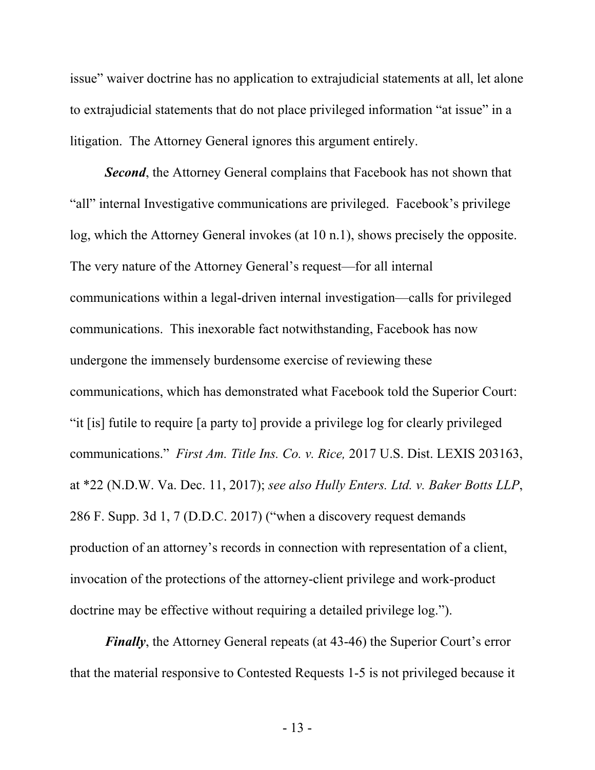issue" waiver doctrine has no application to extrajudicial statements at all, let alone to extrajudicial statements that do not place privileged information "at issue" in a litigation. The Attorney General ignores this argument entirely.

**Second**, the Attorney General complains that Facebook has not shown that "all" internal Investigative communications are privileged. Facebook's privilege log, which the Attorney General invokes (at 10 n.1), shows precisely the opposite. The very nature of the Attorney General's request—for all internal communications within a legal-driven internal investigation—calls for privileged communications. This inexorable fact notwithstanding, Facebook has now undergone the immensely burdensome exercise of reviewing these communications, which has demonstrated what Facebook told the Superior Court: "it [is] futile to require [a party to] provide a privilege log for clearly privileged communications." *First Am. Title Ins. Co. v. Rice,* 2017 U.S. Dist. LEXIS 203163, at \*22 (N.D.W. Va. Dec. 11, 2017); *see also Hully Enters. Ltd. v. Baker Botts LLP*, 286 F. Supp. 3d 1, 7 (D.D.C. 2017) ("when a discovery request demands production of an attorney's records in connection with representation of a client, invocation of the protections of the attorney-client privilege and work-product doctrine may be effective without requiring a detailed privilege log.").

*Finally*, the Attorney General repeats (at 43-46) the Superior Court's error that the material responsive to Contested Requests 1-5 is not privileged because it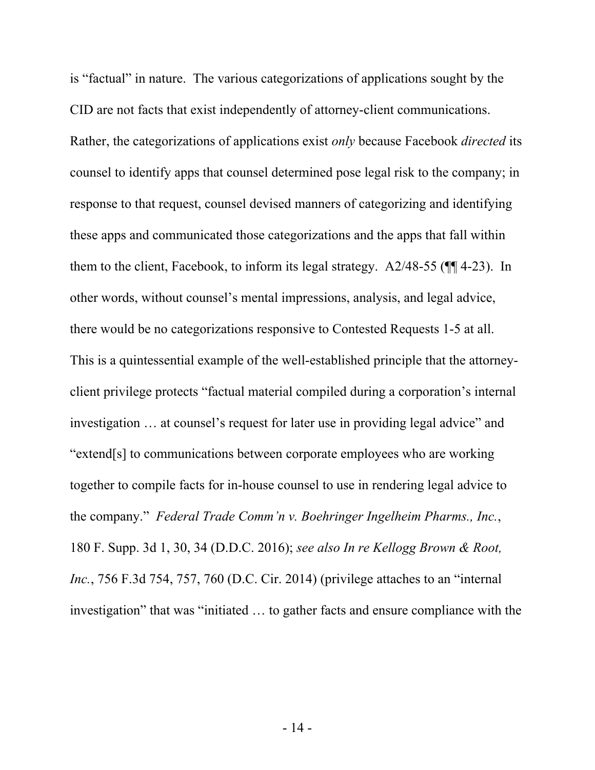is "factual" in nature. The various categorizations of applications sought by the CID are not facts that exist independently of attorney-client communications. Rather, the categorizations of applications exist *only* because Facebook *directed* its counsel to identify apps that counsel determined pose legal risk to the company; in response to that request, counsel devised manners of categorizing and identifying these apps and communicated those categorizations and the apps that fall within them to the client, Facebook, to inform its legal strategy. A2/48-55 (¶¶ 4-23). In other words, without counsel's mental impressions, analysis, and legal advice, there would be no categorizations responsive to Contested Requests 1-5 at all. This is a quintessential example of the well-established principle that the attorneyclient privilege protects "factual material compiled during a corporation's internal investigation … at counsel's request for later use in providing legal advice" and "extend[s] to communications between corporate employees who are working together to compile facts for in-house counsel to use in rendering legal advice to the company." *Federal Trade Comm'n v. Boehringer Ingelheim Pharms., Inc.*, 180 F. Supp. 3d 1, 30, 34 (D.D.C. 2016); *see also In re Kellogg Brown & Root, Inc.*, 756 F.3d 754, 757, 760 (D.C. Cir. 2014) (privilege attaches to an "internal investigation" that was "initiated … to gather facts and ensure compliance with the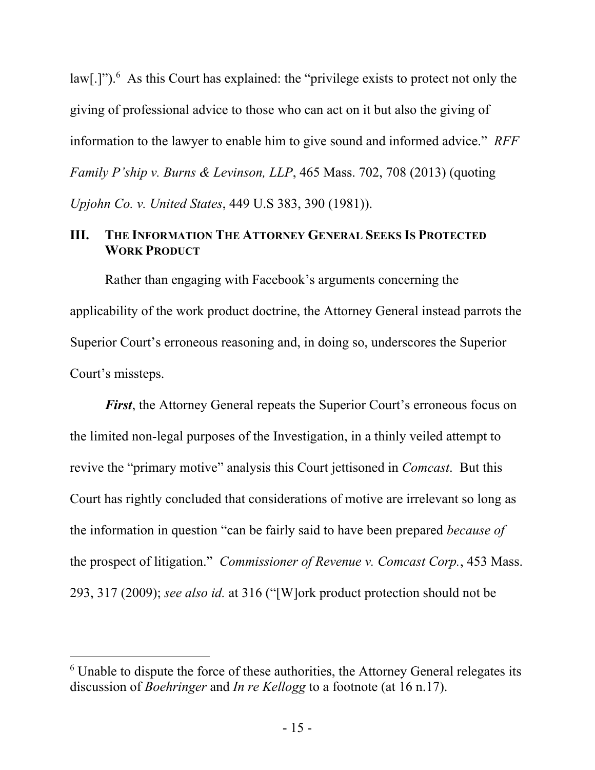law[.]").<sup>6</sup> As this Court has explained: the "privilege exists to protect not only the giving of professional advice to those who can act on it but also the giving of information to the lawyer to enable him to give sound and informed advice." *RFF Family P'ship v. Burns & Levinson, LLP*, 465 Mass. 702, 708 (2013) (quoting *Upjohn Co. v. United States*, 449 U.S 383, 390 (1981)).

### **III. THE INFORMATION THE ATTORNEY GENERAL SEEKS IS PROTECTED WORK PRODUCT**

Rather than engaging with Facebook's arguments concerning the applicability of the work product doctrine, the Attorney General instead parrots the Superior Court's erroneous reasoning and, in doing so, underscores the Superior Court's missteps.

*First*, the Attorney General repeats the Superior Court's erroneous focus on the limited non-legal purposes of the Investigation, in a thinly veiled attempt to revive the "primary motive" analysis this Court jettisoned in *Comcast*. But this Court has rightly concluded that considerations of motive are irrelevant so long as the information in question "can be fairly said to have been prepared *because of* the prospect of litigation." *Commissioner of Revenue v. Comcast Corp.*, 453 Mass. 293, 317 (2009); *see also id.* at 316 ("[W]ork product protection should not be

<sup>&</sup>lt;sup>6</sup> Unable to dispute the force of these authorities, the Attorney General relegates its discussion of *Boehringer* and *In re Kellogg* to a footnote (at 16 n.17).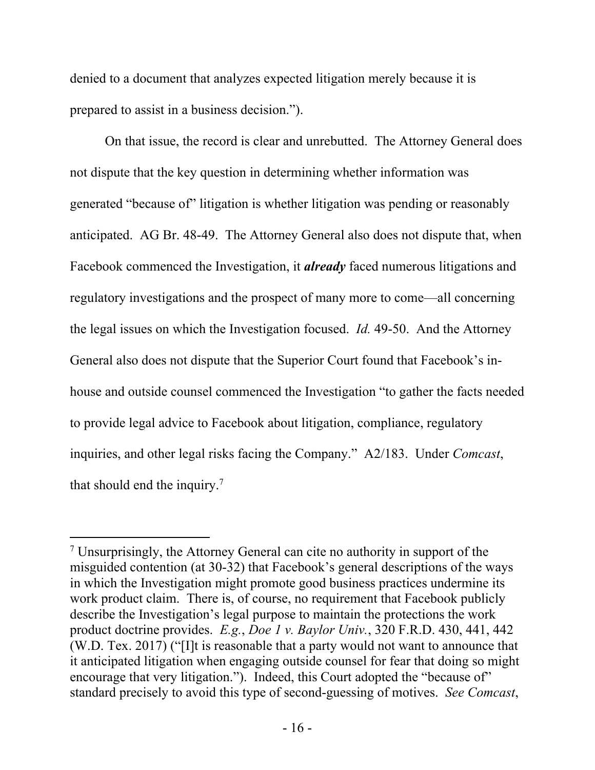denied to a document that analyzes expected litigation merely because it is prepared to assist in a business decision.").

On that issue, the record is clear and unrebutted. The Attorney General does not dispute that the key question in determining whether information was generated "because of" litigation is whether litigation was pending or reasonably anticipated. AG Br. 48-49. The Attorney General also does not dispute that, when Facebook commenced the Investigation, it *already* faced numerous litigations and regulatory investigations and the prospect of many more to come—all concerning the legal issues on which the Investigation focused. *Id.* 49-50. And the Attorney General also does not dispute that the Superior Court found that Facebook's inhouse and outside counsel commenced the Investigation "to gather the facts needed to provide legal advice to Facebook about litigation, compliance, regulatory inquiries, and other legal risks facing the Company." A2/183. Under *Comcast*, that should end the inquiry.7

<sup>&</sup>lt;sup>7</sup> Unsurprisingly, the Attorney General can cite no authority in support of the misguided contention (at 30-32) that Facebook's general descriptions of the ways in which the Investigation might promote good business practices undermine its work product claim. There is, of course, no requirement that Facebook publicly describe the Investigation's legal purpose to maintain the protections the work product doctrine provides. *E.g.*, *Doe 1 v. Baylor Univ.*, 320 F.R.D. 430, 441, 442 (W.D. Tex. 2017) ("[I]t is reasonable that a party would not want to announce that it anticipated litigation when engaging outside counsel for fear that doing so might encourage that very litigation."). Indeed, this Court adopted the "because of" standard precisely to avoid this type of second-guessing of motives. *See Comcast*,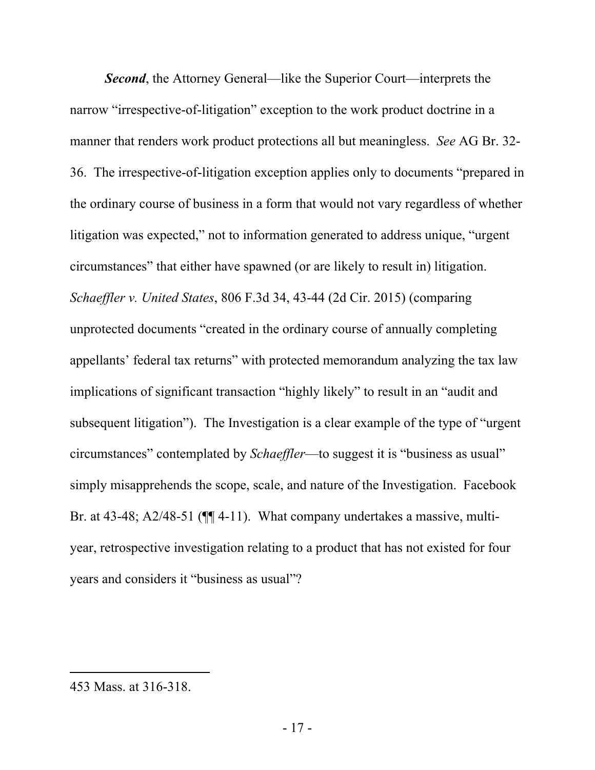*Second*, the Attorney General—like the Superior Court—interprets the narrow "irrespective-of-litigation" exception to the work product doctrine in a manner that renders work product protections all but meaningless. *See* AG Br. 32- 36. The irrespective-of-litigation exception applies only to documents "prepared in the ordinary course of business in a form that would not vary regardless of whether litigation was expected," not to information generated to address unique, "urgent circumstances" that either have spawned (or are likely to result in) litigation. *Schaeffler v. United States*, 806 F.3d 34, 43-44 (2d Cir. 2015) (comparing unprotected documents "created in the ordinary course of annually completing appellants' federal tax returns" with protected memorandum analyzing the tax law implications of significant transaction "highly likely" to result in an "audit and subsequent litigation"). The Investigation is a clear example of the type of "urgent circumstances" contemplated by *Schaeffler*—to suggest it is "business as usual" simply misapprehends the scope, scale, and nature of the Investigation. Facebook Br. at 43-48; A2/48-51 ( $\P$  $\P$  4-11). What company undertakes a massive, multiyear, retrospective investigation relating to a product that has not existed for four years and considers it "business as usual"?

<sup>453</sup> Mass. at 316-318.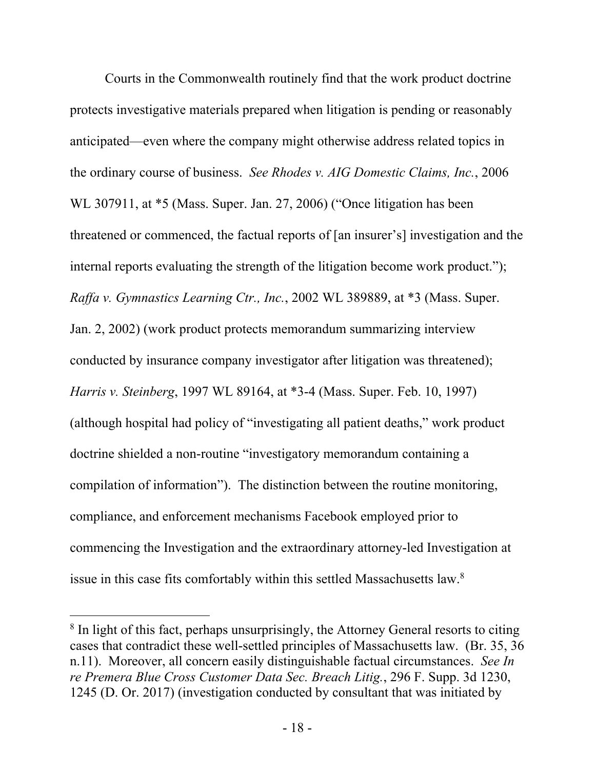Courts in the Commonwealth routinely find that the work product doctrine protects investigative materials prepared when litigation is pending or reasonably anticipated—even where the company might otherwise address related topics in the ordinary course of business. *See Rhodes v. AIG Domestic Claims, Inc.*, 2006 WL 307911, at \*5 (Mass. Super. Jan. 27, 2006) ("Once litigation has been threatened or commenced, the factual reports of [an insurer's] investigation and the internal reports evaluating the strength of the litigation become work product."); *Raffa v. Gymnastics Learning Ctr., Inc.*, 2002 WL 389889, at \*3 (Mass. Super. Jan. 2, 2002) (work product protects memorandum summarizing interview conducted by insurance company investigator after litigation was threatened); *Harris v. Steinberg*, 1997 WL 89164, at \*3-4 (Mass. Super. Feb. 10, 1997) (although hospital had policy of "investigating all patient deaths," work product doctrine shielded a non-routine "investigatory memorandum containing a compilation of information"). The distinction between the routine monitoring, compliance, and enforcement mechanisms Facebook employed prior to commencing the Investigation and the extraordinary attorney-led Investigation at issue in this case fits comfortably within this settled Massachusetts law. $8$ 

<sup>&</sup>lt;sup>8</sup> In light of this fact, perhaps unsurprisingly, the Attorney General resorts to citing cases that contradict these well-settled principles of Massachusetts law. (Br. 35, 36 n.11). Moreover, all concern easily distinguishable factual circumstances. *See In re Premera Blue Cross Customer Data Sec. Breach Litig.*, 296 F. Supp. 3d 1230, 1245 (D. Or. 2017) (investigation conducted by consultant that was initiated by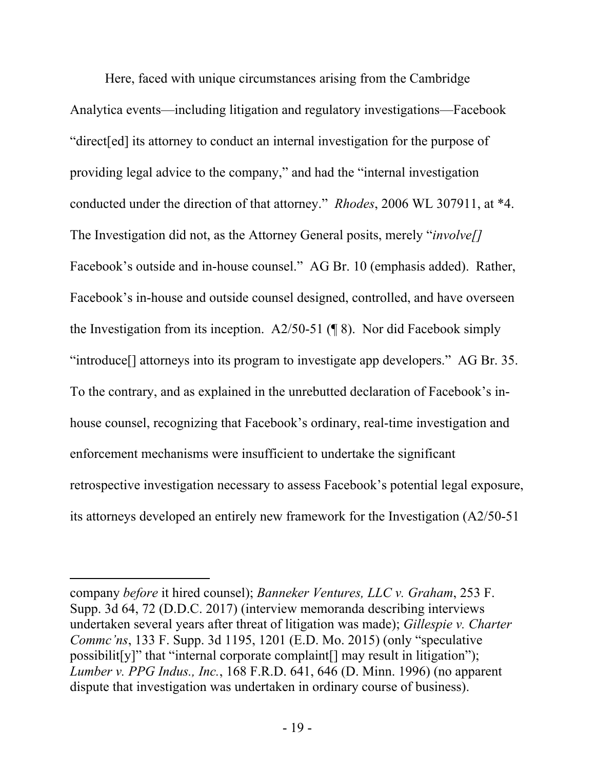Here, faced with unique circumstances arising from the Cambridge Analytica events—including litigation and regulatory investigations—Facebook "direct[ed] its attorney to conduct an internal investigation for the purpose of providing legal advice to the company," and had the "internal investigation conducted under the direction of that attorney." *Rhodes*, 2006 WL 307911, at \*4. The Investigation did not, as the Attorney General posits, merely "*involve[]*  Facebook's outside and in-house counsel." AG Br. 10 (emphasis added). Rather, Facebook's in-house and outside counsel designed, controlled, and have overseen the Investigation from its inception. A2/50-51 ( $\sqrt{\frac{8}}$ ). Nor did Facebook simply "introduce[] attorneys into its program to investigate app developers." AG Br. 35. To the contrary, and as explained in the unrebutted declaration of Facebook's inhouse counsel, recognizing that Facebook's ordinary, real-time investigation and enforcement mechanisms were insufficient to undertake the significant retrospective investigation necessary to assess Facebook's potential legal exposure, its attorneys developed an entirely new framework for the Investigation (A2/50-51

company *before* it hired counsel); *Banneker Ventures, LLC v. Graham*, 253 F. Supp. 3d 64, 72 (D.D.C. 2017) (interview memoranda describing interviews undertaken several years after threat of litigation was made); *Gillespie v. Charter Commc'ns*, 133 F. Supp. 3d 1195, 1201 (E.D. Mo. 2015) (only "speculative possibilit[y]" that "internal corporate complaint[] may result in litigation"); *Lumber v. PPG Indus., Inc.*, 168 F.R.D. 641, 646 (D. Minn. 1996) (no apparent dispute that investigation was undertaken in ordinary course of business).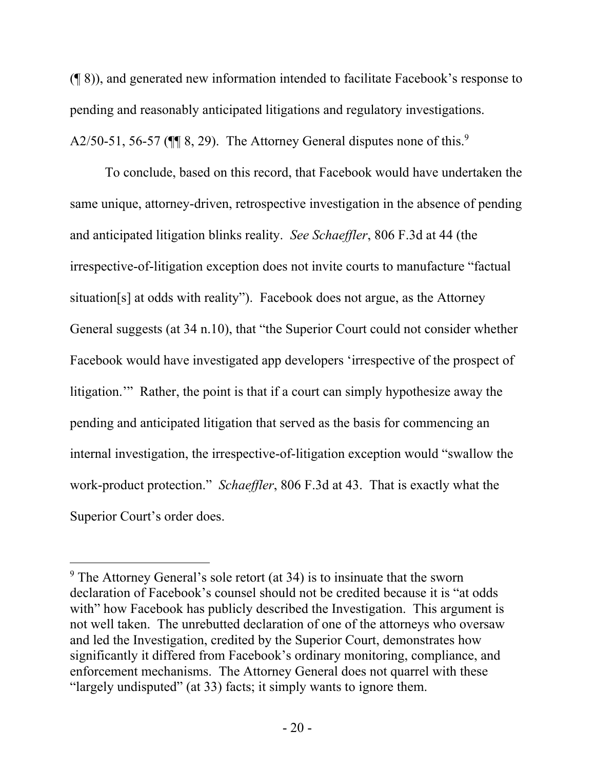(¶ 8)), and generated new information intended to facilitate Facebook's response to pending and reasonably anticipated litigations and regulatory investigations. A2/50-51, 56-57 ( $\P$  8, 29). The Attorney General disputes none of this.<sup>9</sup>

To conclude, based on this record, that Facebook would have undertaken the same unique, attorney-driven, retrospective investigation in the absence of pending and anticipated litigation blinks reality. *See Schaeffler*, 806 F.3d at 44 (the irrespective-of-litigation exception does not invite courts to manufacture "factual situation[s] at odds with reality"). Facebook does not argue, as the Attorney General suggests (at 34 n.10), that "the Superior Court could not consider whether Facebook would have investigated app developers 'irrespective of the prospect of litigation." Rather, the point is that if a court can simply hypothesize away the pending and anticipated litigation that served as the basis for commencing an internal investigation, the irrespective-of-litigation exception would "swallow the work-product protection." *Schaeffler*, 806 F.3d at 43. That is exactly what the Superior Court's order does.

<sup>&</sup>lt;sup>9</sup> The Attorney General's sole retort (at 34) is to insinuate that the sworn declaration of Facebook's counsel should not be credited because it is "at odds with" how Facebook has publicly described the Investigation. This argument is not well taken. The unrebutted declaration of one of the attorneys who oversaw and led the Investigation, credited by the Superior Court, demonstrates how significantly it differed from Facebook's ordinary monitoring, compliance, and enforcement mechanisms. The Attorney General does not quarrel with these "largely undisputed" (at 33) facts; it simply wants to ignore them.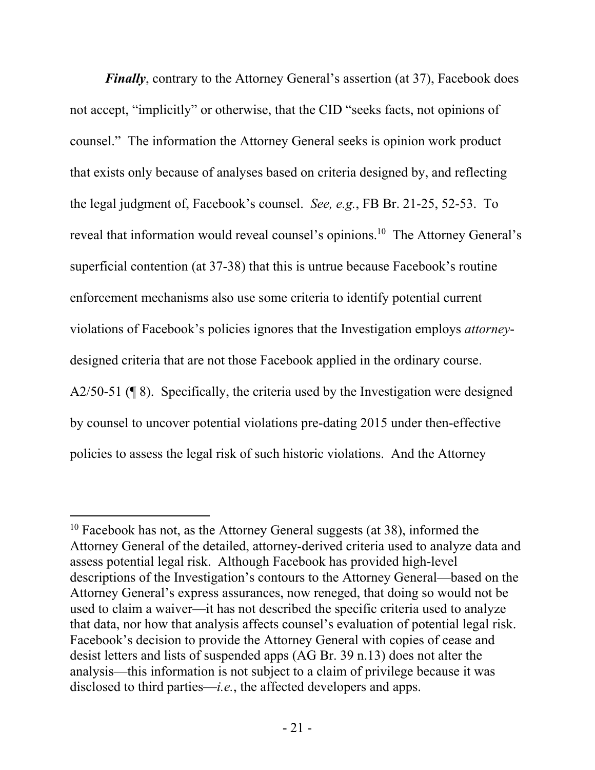*Finally*, contrary to the Attorney General's assertion (at 37), Facebook does not accept, "implicitly" or otherwise, that the CID "seeks facts, not opinions of counsel." The information the Attorney General seeks is opinion work product that exists only because of analyses based on criteria designed by, and reflecting the legal judgment of, Facebook's counsel. *See, e.g.*, FB Br. 21-25, 52-53. To reveal that information would reveal counsel's opinions.<sup>10</sup> The Attorney General's superficial contention (at 37-38) that this is untrue because Facebook's routine enforcement mechanisms also use some criteria to identify potential current violations of Facebook's policies ignores that the Investigation employs *attorney*designed criteria that are not those Facebook applied in the ordinary course. A2/50-51 (¶ 8). Specifically, the criteria used by the Investigation were designed by counsel to uncover potential violations pre-dating 2015 under then-effective policies to assess the legal risk of such historic violations. And the Attorney

<sup>&</sup>lt;sup>10</sup> Facebook has not, as the Attorney General suggests (at 38), informed the Attorney General of the detailed, attorney-derived criteria used to analyze data and assess potential legal risk. Although Facebook has provided high-level descriptions of the Investigation's contours to the Attorney General—based on the Attorney General's express assurances, now reneged, that doing so would not be used to claim a waiver—it has not described the specific criteria used to analyze that data, nor how that analysis affects counsel's evaluation of potential legal risk. Facebook's decision to provide the Attorney General with copies of cease and desist letters and lists of suspended apps (AG Br. 39 n.13) does not alter the analysis—this information is not subject to a claim of privilege because it was disclosed to third parties—*i.e.*, the affected developers and apps.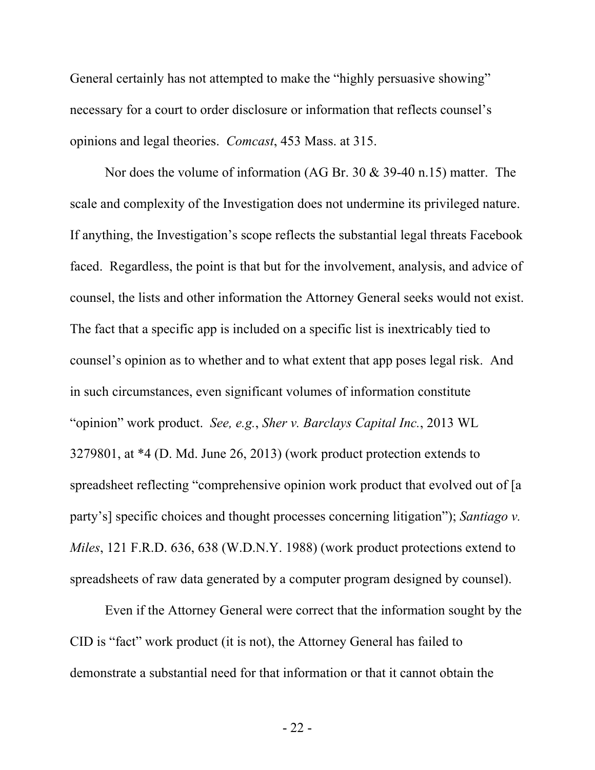General certainly has not attempted to make the "highly persuasive showing" necessary for a court to order disclosure or information that reflects counsel's opinions and legal theories. *Comcast*, 453 Mass. at 315.

Nor does the volume of information (AG Br. 30 & 39-40 n.15) matter. The scale and complexity of the Investigation does not undermine its privileged nature. If anything, the Investigation's scope reflects the substantial legal threats Facebook faced. Regardless, the point is that but for the involvement, analysis, and advice of counsel, the lists and other information the Attorney General seeks would not exist. The fact that a specific app is included on a specific list is inextricably tied to counsel's opinion as to whether and to what extent that app poses legal risk. And in such circumstances, even significant volumes of information constitute "opinion" work product. *See, e.g.*, *Sher v. Barclays Capital Inc.*, 2013 WL 3279801, at \*4 (D. Md. June 26, 2013) (work product protection extends to spreadsheet reflecting "comprehensive opinion work product that evolved out of [a party's] specific choices and thought processes concerning litigation"); *Santiago v. Miles*, 121 F.R.D. 636, 638 (W.D.N.Y. 1988) (work product protections extend to spreadsheets of raw data generated by a computer program designed by counsel).

Even if the Attorney General were correct that the information sought by the CID is "fact" work product (it is not), the Attorney General has failed to demonstrate a substantial need for that information or that it cannot obtain the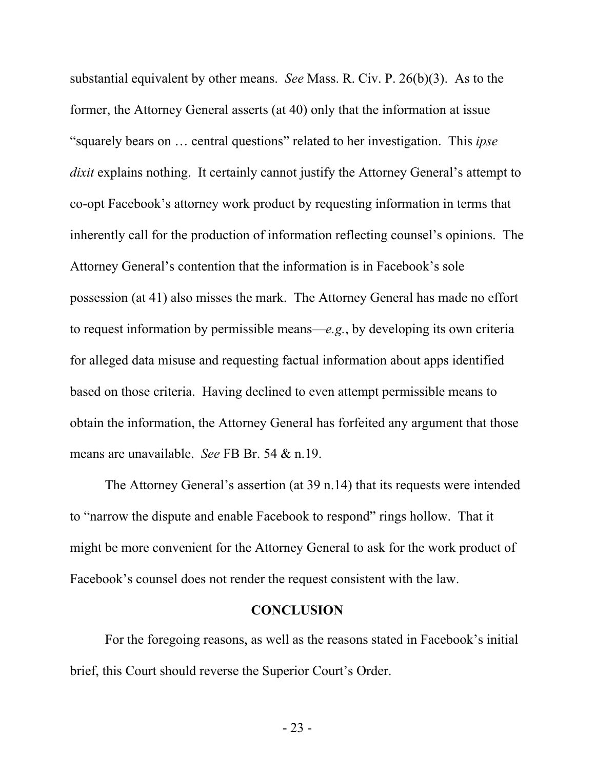substantial equivalent by other means. *See* Mass. R. Civ. P. 26(b)(3). As to the former, the Attorney General asserts (at 40) only that the information at issue "squarely bears on … central questions" related to her investigation. This *ipse dixit* explains nothing. It certainly cannot justify the Attorney General's attempt to co-opt Facebook's attorney work product by requesting information in terms that inherently call for the production of information reflecting counsel's opinions. The Attorney General's contention that the information is in Facebook's sole possession (at 41) also misses the mark. The Attorney General has made no effort to request information by permissible means—*e.g.*, by developing its own criteria for alleged data misuse and requesting factual information about apps identified based on those criteria. Having declined to even attempt permissible means to obtain the information, the Attorney General has forfeited any argument that those means are unavailable. *See* FB Br. 54 & n.19.

The Attorney General's assertion (at 39 n.14) that its requests were intended to "narrow the dispute and enable Facebook to respond" rings hollow. That it might be more convenient for the Attorney General to ask for the work product of Facebook's counsel does not render the request consistent with the law.

#### **CONCLUSION**

For the foregoing reasons, as well as the reasons stated in Facebook's initial brief, this Court should reverse the Superior Court's Order.

- 23 -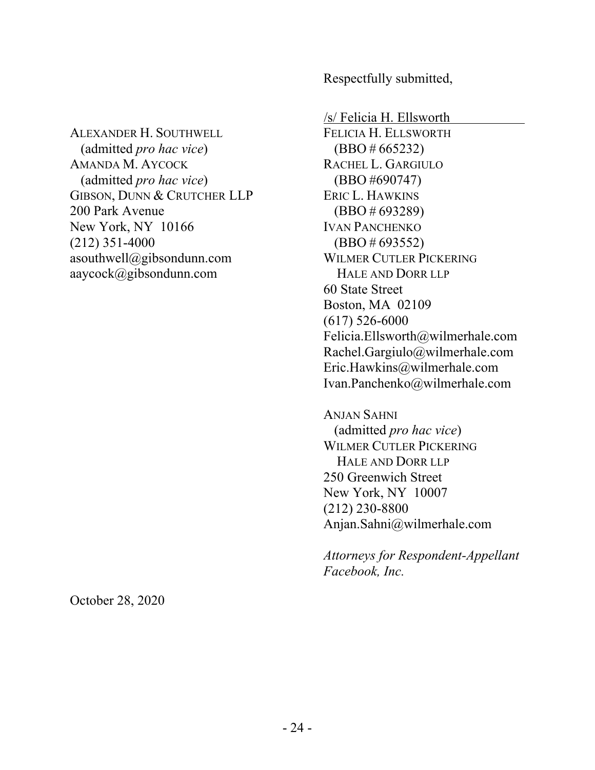ALEXANDER H. SOUTHWELL (admitted *pro hac vice*) AMANDA M. AYCOCK (admitted *pro hac vice*) GIBSON, DUNN & CRUTCHER LLP 200 Park Avenue New York, NY 10166 (212) 351-4000 asouthwell@gibsondunn.com aaycock@gibsondunn.com

Respectfully submitted,

/s/ Felicia H. Ellsworth FELICIA H. ELLSWORTH (BBO # 665232) RACHEL L. GARGIULO (BBO #690747) ERIC L. HAWKINS (BBO # 693289) IVAN PANCHENKO (BBO # 693552) WILMER CUTLER PICKERING HALE AND DORR LLP 60 State Street Boston, MA 02109 (617) 526-6000 Felicia.Ellsworth@wilmerhale.com Rachel.Gargiulo@wilmerhale.com Eric.Hawkins@wilmerhale.com Ivan.Panchenko@wilmerhale.com

ANJAN SAHNI (admitted *pro hac vice*) WILMER CUTLER PICKERING HALE AND DORR LLP 250 Greenwich Street New York, NY 10007 (212) 230-8800 Anjan.Sahni@wilmerhale.com

*Attorneys for Respondent-Appellant Facebook, Inc.*

October 28, 2020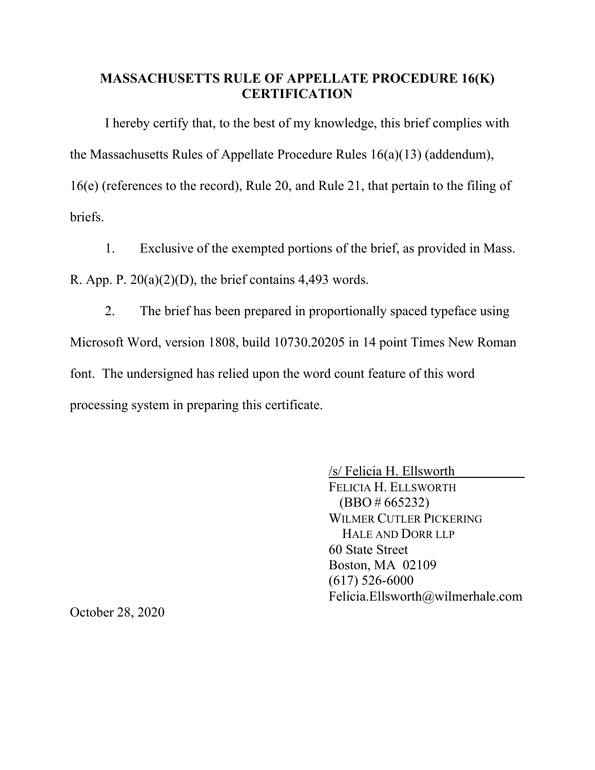### **MASSACHUSETTS RULE OF APPELLATE PROCEDURE 16(K) CERTIFICATION**

I hereby certify that, to the best of my knowledge, this brief complies with the Massachusetts Rules of Appellate Procedure Rules 16(a)(13) (addendum), 16(e) (references to the record), Rule 20, and Rule 21, that pertain to the filing of briefs.

1. Exclusive of the exempted portions of the brief, as provided in Mass.

R. App. P.  $20(a)(2)(D)$ , the brief contains 4,493 words.

2. The brief has been prepared in proportionally spaced typeface using Microsoft Word, version 1808, build 10730.20205 in 14 point Times New Roman font. The undersigned has relied upon the word count feature of this word processing system in preparing this certificate.

> /s/ Felicia H. Ellsworth FELICIA H. ELLSWORTH  $(BBO # 665232)$ WILMER CUTLER PICKERING HALE AND DORR LLP 60 State Street Boston, MA 02109 (617) 526-6000 Felicia.Ellsworth@wilmerhale.com

October 28, 2020